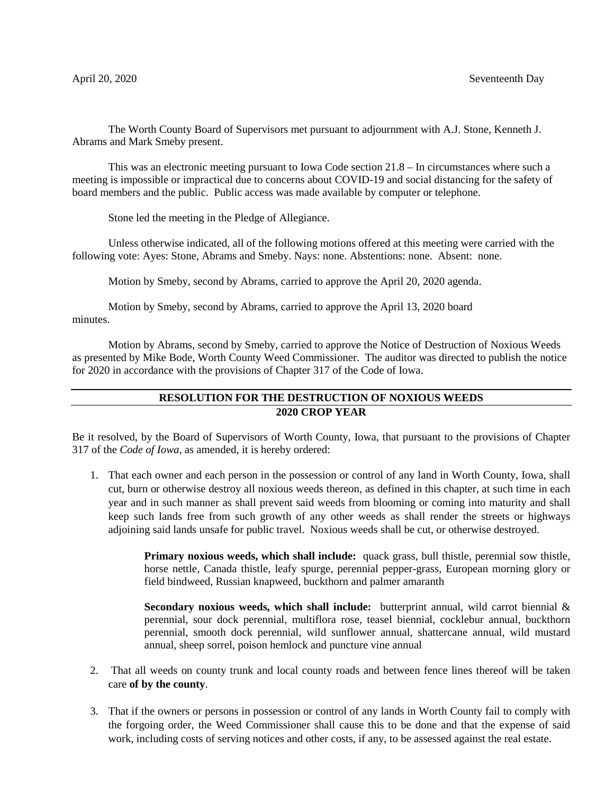The Worth County Board of Supervisors met pursuant to adjournment with A.J. Stone, Kenneth J. Abrams and Mark Smeby present.

This was an electronic meeting pursuant to Iowa Code section 21.8 – In circumstances where such a meeting is impossible or impractical due to concerns about COVID-19 and social distancing for the safety of board members and the public. Public access was made available by computer or telephone.

Stone led the meeting in the Pledge of Allegiance.

Unless otherwise indicated, all of the following motions offered at this meeting were carried with the following vote: Ayes: Stone, Abrams and Smeby. Nays: none. Abstentions: none. Absent: none.

Motion by Smeby, second by Abrams, carried to approve the April 20, 2020 agenda.

Motion by Smeby, second by Abrams, carried to approve the April 13, 2020 board minutes.

Motion by Abrams, second by Smeby, carried to approve the Notice of Destruction of Noxious Weeds as presented by Mike Bode, Worth County Weed Commissioner. The auditor was directed to publish the notice for 2020 in accordance with the provisions of Chapter 317 of the Code of Iowa.

## **RESOLUTION FOR THE DESTRUCTION OF NOXIOUS WEEDS 2020 CROP YEAR**

Be it resolved, by the Board of Supervisors of Worth County, Iowa, that pursuant to the provisions of Chapter 317 of the *Code of Iowa,* as amended, it is hereby ordered:

1. That each owner and each person in the possession or control of any land in Worth County, Iowa, shall cut, burn or otherwise destroy all noxious weeds thereon, as defined in this chapter, at such time in each year and in such manner as shall prevent said weeds from blooming or coming into maturity and shall keep such lands free from such growth of any other weeds as shall render the streets or highways adjoining said lands unsafe for public travel. Noxious weeds shall be cut, or otherwise destroyed.

> **Primary noxious weeds, which shall include:** quack grass, bull thistle, perennial sow thistle, horse nettle, Canada thistle, leafy spurge, perennial pepper-grass, European morning glory or field bindweed, Russian knapweed, buckthorn and palmer amaranth

> **Secondary noxious weeds, which shall include:** butterprint annual, wild carrot biennial & perennial, sour dock perennial, multiflora rose, teasel biennial, cocklebur annual, buckthorn perennial, smooth dock perennial, wild sunflower annual, shattercane annual, wild mustard annual, sheep sorrel, poison hemlock and puncture vine annual

- 2. That all weeds on county trunk and local county roads and between fence lines thereof will be taken care **of by the county**.
- 3. That if the owners or persons in possession or control of any lands in Worth County fail to comply with the forgoing order, the Weed Commissioner shall cause this to be done and that the expense of said work, including costs of serving notices and other costs, if any, to be assessed against the real estate.